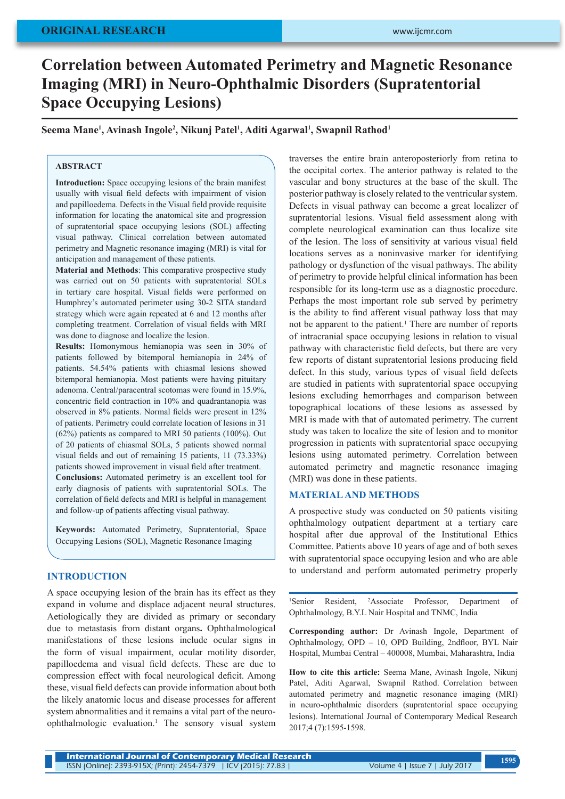# **ORIGINAL RESEARCH**

# **Correlation between Automated Perimetry and Magnetic Resonance Imaging (MRI) in Neuro-Ophthalmic Disorders (Supratentorial Space Occupying Lesions)**

**Seema Mane1 , Avinash Ingole2 , Nikunj Patel1 , Aditi Agarwal1 , Swapnil Rathod1**

## **ABSTRACT**

**Introduction:** Space occupying lesions of the brain manifest usually with visual field defects with impairment of vision and papilloedema. Defects in the Visual field provide requisite information for locating the anatomical site and progression of supratentorial space occupying lesions (SOL) affecting visual pathway. Clinical correlation between automated perimetry and Magnetic resonance imaging (MRI) is vital for anticipation and management of these patients.

**Material and Methods**: This comparative prospective study was carried out on 50 patients with supratentorial SOLs in tertiary care hospital. Visual fields were performed on Humphrey's automated perimeter using 30-2 SITA standard strategy which were again repeated at 6 and 12 months after completing treatment. Correlation of visual fields with MRI was done to diagnose and localize the lesion.

**Results:** Homonymous hemianopia was seen in 30% of patients followed by bitemporal hemianopia in 24% of patients. 54.54% patients with chiasmal lesions showed bitemporal hemianopia. Most patients were having pituitary adenoma. Central/paracentral scotomas were found in 15.9%, concentric field contraction in 10% and quadrantanopia was observed in 8% patients. Normal fields were present in 12% of patients. Perimetry could correlate location of lesions in 31 (62%) patients as compared to MRI 50 patients (100%). Out of 20 patients of chiasmal SOLs, 5 patients showed normal visual fields and out of remaining 15 patients, 11 (73.33%) patients showed improvement in visual field after treatment. **Conclusions:** Automated perimetry is an excellent tool for early diagnosis of patients with supratentorial SOLs. The

correlation of field defects and MRI is helpful in management and follow-up of patients affecting visual pathway.

**Keywords:** Automated Perimetry, Supratentorial, Space Occupying Lesions (SOL), Magnetic Resonance Imaging

# **INTRODUCTION**

A space occupying lesion of the brain has its effect as they expand in volume and displace adjacent neural structures. Aetiologically they are divided as primary or secondary due to metastasis from distant organs**.** Ophthalmological manifestations of these lesions include ocular signs in the form of visual impairment, ocular motility disorder, papilloedema and visual field defects. These are due to compression effect with focal neurological deficit. Among these, visual field defects can provide information about both the likely anatomic locus and disease processes for afferent system abnormalities and it remains a vital part of the neuroophthalmologic evaluation.1 The sensory visual system

traverses the entire brain anteroposteriorly from retina to the occipital cortex. The anterior pathway is related to the vascular and bony structures at the base of the skull. The posterior pathway is closely related to the ventricular system. Defects in visual pathway can become a great localizer of supratentorial lesions. Visual field assessment along with complete neurological examination can thus localize site of the lesion. The loss of sensitivity at various visual field locations serves as a noninvasive marker for identifying pathology or dysfunction of the visual pathways. The ability of perimetry to provide helpful clinical information has been responsible for its long-term use as a diagnostic procedure. Perhaps the most important role sub served by perimetry is the ability to find afferent visual pathway loss that may not be apparent to the patient.<sup>1</sup> There are number of reports of intracranial space occupying lesions in relation to visual pathway with characteristic field defects, but there are very few reports of distant supratentorial lesions producing field defect. In this study, various types of visual field defects are studied in patients with supratentorial space occupying lesions excluding hemorrhages and comparison between topographical locations of these lesions as assessed by MRI is made with that of automated perimetry. The current study was taken to localize the site of lesion and to monitor progression in patients with supratentorial space occupying lesions using automated perimetry. Correlation between automated perimetry and magnetic resonance imaging (MRI) was done in these patients.

#### **MATERIAL AND METHODS**

A prospective study was conducted on 50 patients visiting ophthalmology outpatient department at a tertiary care hospital after due approval of the Institutional Ethics Committee. Patients above 10 years of age and of both sexes with supratentorial space occupying lesion and who are able to understand and perform automated perimetry properly

<sup>1</sup>Senior Resident, <sup>2</sup>Associate Professor, Department of Ophthalmology, B.Y.L Nair Hospital and TNMC, India

**Corresponding author:** Dr Avinash Ingole, Department of Ophthalmology, OPD – 10, OPD Building, 2ndfloor, BYL Nair Hospital, Mumbai Central – 400008, Mumbai, Maharashtra, India

**How to cite this article:** Seema Mane, Avinash Ingole, Nikunj Patel, Aditi Agarwal, Swapnil Rathod. Correlation between automated perimetry and magnetic resonance imaging (MRI) in neuro-ophthalmic disorders (supratentorial space occupying lesions). International Journal of Contemporary Medical Research 2017;4 (7):1595-1598.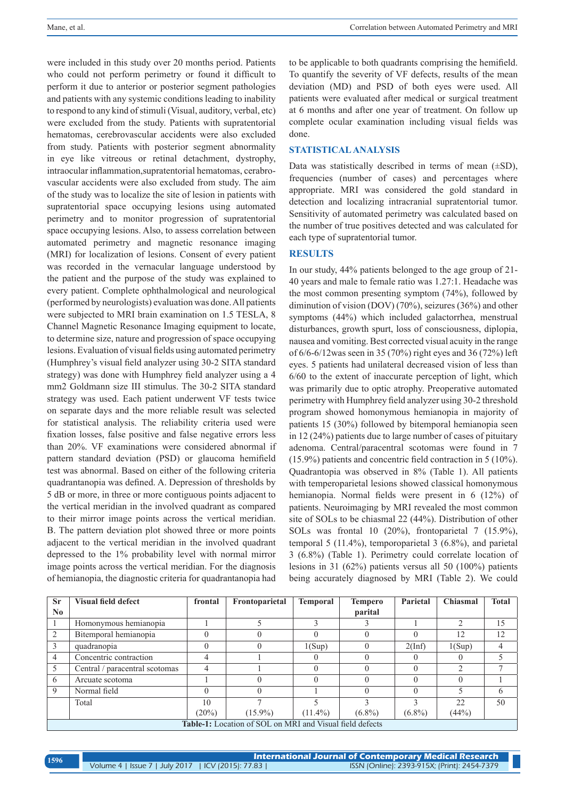were included in this study over 20 months period. Patients who could not perform perimetry or found it difficult to perform it due to anterior or posterior segment pathologies and patients with any systemic conditions leading to inability to respond to any kind of stimuli (Visual, auditory, verbal, etc) were excluded from the study. Patients with supratentorial hematomas, cerebrovascular accidents were also excluded from study. Patients with posterior segment abnormality in eye like vitreous or retinal detachment, dystrophy, intraocular inflammation,supratentorial hematomas, cerabrovascular accidents were also excluded from study. The aim of the study was to localize the site of lesion in patients with supratentorial space occupying lesions using automated perimetry and to monitor progression of supratentorial space occupying lesions. Also, to assess correlation between automated perimetry and magnetic resonance imaging (MRI) for localization of lesions. Consent of every patient was recorded in the vernacular language understood by the patient and the purpose of the study was explained to every patient. Complete ophthalmological and neurological (performed by neurologists) evaluation was done. All patients were subjected to MRI brain examination on 1.5 TESLA, 8 Channel Magnetic Resonance Imaging equipment to locate, to determine size, nature and progression of space occupying lesions. Evaluation of visual fields using automated perimetry (Humphrey's visual field analyzer using 30-2 SITA standard strategy) was done with Humphrey field analyzer using a 4 mm2 Goldmann size III stimulus. The 30-2 SITA standard strategy was used. Each patient underwent VF tests twice on separate days and the more reliable result was selected for statistical analysis. The reliability criteria used were fixation losses, false positive and false negative errors less than 20%. VF examinations were considered abnormal if pattern standard deviation (PSD) or glaucoma hemifield test was abnormal. Based on either of the following criteria quadrantanopia was defined. A. Depression of thresholds by 5 dB or more, in three or more contiguous points adjacent to the vertical meridian in the involved quadrant as compared to their mirror image points across the vertical meridian. B. The pattern deviation plot showed three or more points adjacent to the vertical meridian in the involved quadrant depressed to the 1% probability level with normal mirror image points across the vertical meridian. For the diagnosis of hemianopia, the diagnostic criteria for quadrantanopia had to be applicable to both quadrants comprising the hemifield. To quantify the severity of VF defects, results of the mean deviation (MD) and PSD of both eyes were used. All patients were evaluated after medical or surgical treatment at 6 months and after one year of treatment. On follow up complete ocular examination including visual fields was done.

#### **STATISTICAL ANALYSIS**

Data was statistically described in terms of mean  $(\pm SD)$ , frequencies (number of cases) and percentages where appropriate. MRI was considered the gold standard in detection and localizing intracranial supratentorial tumor. Sensitivity of automated perimetry was calculated based on the number of true positives detected and was calculated for each type of supratentorial tumor.

### **RESULTS**

In our study, 44% patients belonged to the age group of 21- 40 years and male to female ratio was 1.27:1. Headache was the most common presenting symptom (74%), followed by diminution of vision (DOV) (70%), seizures (36%) and other symptoms (44%) which included galactorrhea, menstrual disturbances, growth spurt, loss of consciousness, diplopia, nausea and vomiting. Best corrected visual acuity in the range of 6/6-6/12was seen in 35 (70%) right eyes and 36 (72%) left eyes. 5 patients had unilateral decreased vision of less than 6/60 to the extent of inaccurate perception of light, which was primarily due to optic atrophy. Preoperative automated perimetry with Humphrey field analyzer using 30-2 threshold program showed homonymous hemianopia in majority of patients 15 (30%) followed by bitemporal hemianopia seen in 12 (24%) patients due to large number of cases of pituitary adenoma. Central/paracentral scotomas were found in 7 (15.9%) patients and concentric field contraction in 5 (10%). Quadrantopia was observed in 8% (Table 1). All patients with temperoparietal lesions showed classical homonymous hemianopia. Normal fields were present in 6 (12%) of patients. Neuroimaging by MRI revealed the most common site of SOLs to be chiasmal 22 (44%). Distribution of other SOLs was frontal 10 (20%), frontoparietal 7 (15.9%), temporal 5 (11.4%), temporoparietal 3 (6.8%), and parietal 3 (6.8%) (Table 1). Perimetry could correlate location of lesions in 31 (62%) patients versus all 50 (100%) patients being accurately diagnosed by MRI (Table 2). We could

| <b>Sr</b>      | <b>Visual field defect</b>                               | frontal | Frontoparietal | <b>Temporal</b> | <b>Tempero</b>   | Parietal  | Chiasmal | <b>Total</b> |  |
|----------------|----------------------------------------------------------|---------|----------------|-----------------|------------------|-----------|----------|--------------|--|
| N <sub>0</sub> |                                                          |         |                |                 | parital          |           |          |              |  |
|                | Homonymous hemianopia                                    |         |                |                 |                  |           | າ        | 15           |  |
| $\mathcal{L}$  | Bitemporal hemianopia                                    |         |                |                 |                  |           | 12       | 12           |  |
| 3              | quadranopia                                              |         |                | 1(Sup)          |                  | 2(Inf)    | 1(Sup)   | 4            |  |
| $\overline{4}$ | Concentric contraction                                   |         |                |                 |                  |           |          |              |  |
| 5 <sup>5</sup> | Central / paracentral scotomas                           |         |                |                 |                  |           | ↑        | ⇁            |  |
| -6             | Arcuate scotoma                                          |         |                |                 |                  |           |          |              |  |
| $\overline{Q}$ | Normal field                                             |         |                |                 | $\left( \right)$ | 0         |          | 6            |  |
|                | Total                                                    | 10      |                |                 |                  |           | 22.      | 50           |  |
|                |                                                          | (20%)   | $(15.9\%)$     | $(11.4\%)$      | $(6.8\%)$        | $(6.8\%)$ | (44%)    |              |  |
|                | Table-1: Location of SOL on MRI and Visual field defects |         |                |                 |                  |           |          |              |  |

**International Journal of Contemporary Medical Research**  Volume 4 | Issue 7 | July 2017 | ICV (2015): 77.83 | ISSN (Online): 2393-915X; (Print): 2454-7379 **<sup>1596</sup>**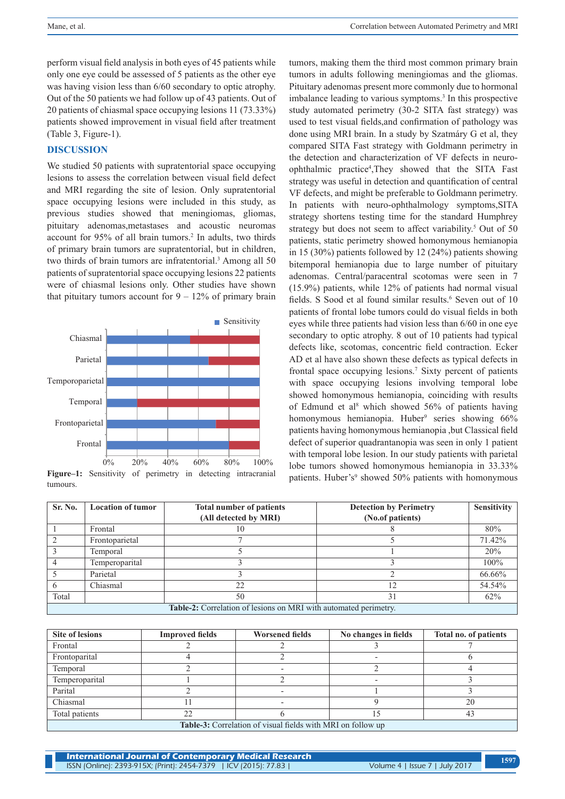perform visual field analysis in both eyes of 45 patients while only one eye could be assessed of 5 patients as the other eye was having vision less than 6/60 secondary to optic atrophy. Out of the 50 patients we had follow up of 43 patients. Out of 20 patients of chiasmal space occupying lesions 11 (73.33%) patients showed improvement in visual field after treatment (Table 3, Figure-1).

# **DISCUSSION**

We studied 50 patients with supratentorial space occupying lesions to assess the correlation between visual field defect and MRI regarding the site of lesion. Only supratentorial space occupying lesions were included in this study, as previous studies showed that meningiomas, gliomas, pituitary adenomas,metastases and acoustic neuromas account for 95% of all brain tumors.<sup>2</sup> In adults, two thirds of primary brain tumors are supratentorial, but in children, two thirds of brain tumors are infratentorial.<sup>3</sup> Among all 50 patients of supratentorial space occupying lesions 22 patients were of chiasmal lesions only. Other studies have shown that pituitary tumors account for  $9 - 12\%$  of primary brain



**Figure–1:** Sensitivity of perimetry in detecting intracranial tumours.

tumors, making them the third most common primary brain tumors in adults following meningiomas and the gliomas. Pituitary adenomas present more commonly due to hormonal imbalance leading to various symptoms.<sup>3</sup> In this prospective study automated perimetry (30-2 SITA fast strategy) was used to test visual fields,and confirmation of pathology was done using MRI brain. In a study by Szatmáry G et al, they compared SITA Fast strategy with Goldmann perimetry in the detection and characterization of VF defects in neuroophthalmic practice<sup>4</sup> ,They showed that the SITA Fast strategy was useful in detection and quantification of central VF defects, and might be preferable to Goldmann perimetry. In patients with neuro-ophthalmology symptoms,SITA strategy shortens testing time for the standard Humphrey strategy but does not seem to affect variability.<sup>5</sup> Out of 50 patients, static perimetry showed homonymous hemianopia in 15 (30%) patients followed by 12 (24%) patients showing bitemporal hemianopia due to large number of pituitary adenomas. Central/paracentral scotomas were seen in 7 (15.9%) patients, while 12% of patients had normal visual fields. S Sood et al found similar results.<sup>6</sup> Seven out of 10 patients of frontal lobe tumors could do visual fields in both eyes while three patients had vision less than 6/60 in one eye secondary to optic atrophy. 8 out of 10 patients had typical defects like, scotomas, concentric field contraction. Ecker AD et al have also shown these defects as typical defects in frontal space occupying lesions.7 Sixty percent of patients with space occupying lesions involving temporal lobe showed homonymous hemianopia, coinciding with results of Edmund et al<sup>8</sup> which showed 56% of patients having homonymous hemianopia. Huber<sup>9</sup> series showing 66% patients having homonymous hemianopia ,but Classical field defect of superior quadrantanopia was seen in only 1 patient with temporal lobe lesion. In our study patients with parietal lobe tumors showed homonymous hemianopia in 33.33% patients. Huber's<sup>9</sup> showed 50% patients with homonymous

| Sr. No.                                                          | <b>Location of tumor</b> | <b>Total number of patients</b> | <b>Detection by Perimetry</b> | <b>Sensitivity</b> |  |  |  |
|------------------------------------------------------------------|--------------------------|---------------------------------|-------------------------------|--------------------|--|--|--|
|                                                                  |                          | (All detected by MRI)           | (No.of patients)              |                    |  |  |  |
|                                                                  | Frontal                  | 10                              |                               | 80%                |  |  |  |
|                                                                  | Frontoparietal           |                                 |                               | 71.42%             |  |  |  |
|                                                                  | Temporal                 |                                 |                               | 20%                |  |  |  |
|                                                                  | Temperoparital           |                                 |                               | 100%               |  |  |  |
|                                                                  | Parietal                 |                                 |                               | 66.66%             |  |  |  |
|                                                                  | Chiasmal                 | 22                              | ∣າ                            | 54.54%             |  |  |  |
| Total                                                            |                          | 50                              |                               | 62%                |  |  |  |
| Table-2: Correlation of lesions on MRI with automated perimetry. |                          |                                 |                               |                    |  |  |  |

| <b>Site of lesions</b>                                             | <b>Improved fields</b> | <b>Worsened fields</b> | No changes in fields | Total no. of patients |  |  |  |
|--------------------------------------------------------------------|------------------------|------------------------|----------------------|-----------------------|--|--|--|
| Frontal                                                            |                        |                        |                      |                       |  |  |  |
| Frontoparital                                                      |                        |                        |                      |                       |  |  |  |
| Temporal                                                           |                        |                        |                      |                       |  |  |  |
| Temperoparital                                                     |                        |                        |                      |                       |  |  |  |
| Parital                                                            |                        |                        |                      |                       |  |  |  |
| Chiasmal                                                           |                        |                        |                      | 20                    |  |  |  |
| Total patients                                                     | 22                     |                        | 15                   | 43                    |  |  |  |
| <b>Table-3:</b> Correlation of visual fields with MRI on follow up |                        |                        |                      |                       |  |  |  |